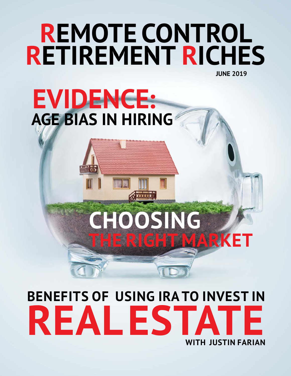### **JUNE 2019 REMOTE CONTROL RETIREMENT RICHES**

# **EVIDENCE: AGE BIAS IN HIRING**

# **CHOOSING THE RIGHT MARKET**

## **BENEFITS OF USING IRA TO INVEST IN REAL EST WITH JUSTIN FARIAN**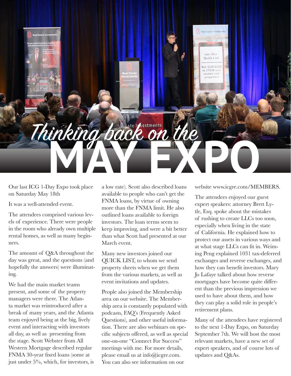

Our last ICG 1-Day Expo took place on Saturday May 18th

It was a well-attended event.

The attendees comprised various levels of experience. There were people in the room who already own multiple rental homes, as well as many beginners.

The amount of Q&A throughout the day was great, and the questions (and hopefully the answers) were illuminating.

We had the main market teams present, and some of the property managers were there. The Atlanta market was reintroduced after a break of many years, and the Atlanta team enjoyed being at the big, lively event and interacting with investors all day, as well as presenting from the stage. Scott Webster from All Western Mortgage described regular FNMA 30-year fixed loans (some at just under 5%, which, for investors, is a low rate). Scott also described loans available to people who can't get the FNMA loans, by virtue of owning more than the FNMA limit. He also outlined loans available to foreign investors. The loan terms seem to keep improving, and were a bit better than what Scott had presented at our March event.

Many new investors joined our QUICK LIST, to whom we send property sheets when we get them from the various markets, as well as event invitations and updates.

People also joined the Membership area on our website. The Membership area is constantly populated with podcasts, FAQ's (Frequently Asked Questions), and other useful information. There are also webinars on specific subjects offered, as well as special one-on-one "Connect For Success" meetings with me. For more details, please email us at info@icgre.com. You can also see information on our

website www.icgre.com/MEMBERS.

The attendees enjoyed our guest expert speakers: attorney Brett Lytle, Esq. spoke about the mistakes of rushing to create LLCs too soon, especially when living in the state of California. He explained how to protect our assets in various ways and at what stage LLCs can fit in. Weiming Peng explained 1031 tax-deferred exchanges and reverse exchanges, and how they can benefit investors. Mary Jo Lafaye talked about how reverse mortgages have become quite different than the previous impression we used to have about them, and how they can play a solid role in people's retirement plans.

Many of the attendees have registered to the next 1-Day Expo, on Saturday September 7th. We will host the most relevant markets, have a new set of expert speakers, and of course lots of updates and Q&As.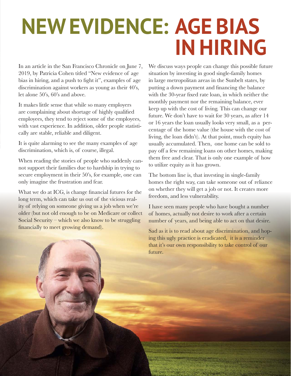# **NEW EVIDENCE: AGE BIAS IN HIRING**

In an article in the San Francisco Chronicle on June 7, 2019, by Patricia Cohen titled "New evidence of age bias in hiring, and a push to fight it", examples of age discrimination against workers as young as their 40's, let alone 50's, 60's and above.

It makes little sense that while so many employers are complaining about shortage of highly qualified employees, they tend to reject some of the employees, with vast experience. In addition, older people statistically are stable, reliable and diligent.

It is quite alarming to see the many examples of age discrimination, which is, of course, illegal.

When reading the stories of people who suddenly cannot support their families due to hardship in trying to secure employment in their 50's, for example, one can only imagine the frustration and fear.

What we do at ICG, is change financial futures for the long term, which can take us out of the vicious reality of relying on someone giving us a job when we're older (but not old enough to be on Medicare or collect Social Security – which we also know to be struggling financially to meet growing demand).

We discuss ways people can change this possible future situation by investing in good single-family homes in large metropolitan areas in the Sunbelt states, by putting a down payment and financing the balance with the 30-year fixed rate loan, in which neither the monthly payment nor the remaining balance, ever keep up with the cost of living. This can change our future. We don't have to wait for 30 years, as after 14 or 16 years the loan usually looks very small, as a percentage of the home value (the house with the cost of living, the loan didn't). At that point, much equity has usually accumulated. Then, one home can be sold to pay off a few remaining loans on other homes, making them free and clear. That is only one example of how to utilize equity as it has grown.

The bottom line is, that investing in single-family homes the right way, can take someone out of reliance on whether they will get a job or not. It creates more freedom, and less vulnerability.

I have seen many people who have bought a number of homes, actually not desire to work after a certain number of years, and being able to act on that desire.

Sad as it is to read about age discrimination, and hoping this ugly practice is eradicated, it is a reminder that it's our own responsibility to take control of our future.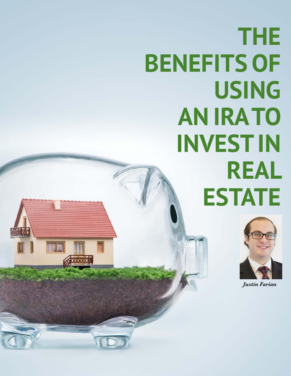# **THE BENEFITS OF USING AN IRA TO INVEST IN REAL ESTATE**



*Justin Farian*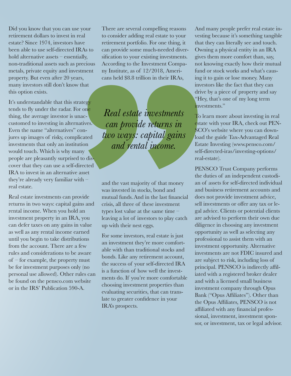Did you know that you can use your retirement dollars to invest in real estate? Since 1974, investors have been able to use self-directed IRAs to hold alternative assets – essentially, non-traditional assets such as precious metals, private equity and investment property. But even after 20 years, many investors still don't know that this option exists.

It's understandable that this strategy tends to fly under the radar. For one thing, the average investor is unaccustomed to investing in alternatives. Even the name "alternatives" conjures up images of risky, complicated investments that only an institution would touch. Which is why many people are pleasantly surprised to discover that they can use a self-directed IRA to invest in an alternative asset they're already very familiar with – real estate.

Real estate investments can provide returns in two ways: capital gains and rental income. When you hold an investment property in an IRA, you can defer taxes on any gains in value as well as any rental income earned until you begin to take distributions from the account. There are a few rules and considerations to be aware of – for example, the property must be for investment purposes only (no personal use allowed). Other rules can be found on the pensco.com website or in the IRS' Publication 590-A.

There are several compelling reasons to consider adding real estate to your retirement portfolio. For one thing, it can provide some much-needed diversification to your existing investments. According to the Investment Company Institute, as of 12/2018, Americans held \$8.8 trillion in their IRAs,

*Real estate investments can provide returns in two ways: capital gains and rental income.* 

and the vast majority of that money was invested in stocks, bond and mutual funds.And in the last financial crisis, all three of these investment types lost value at the same time – leaving a lot of investors to play catch up with their nest eggs.

For some investors, real estate is just an investment they're more comfortable with than traditional stocks and bonds. Like any retirement account, the success of your self-directed IRA is a function of how well the investments do. If you're more comfortable choosing investment properties than evaluating securities, that can translate to greater confidence in your IRA's prospects.

And many people prefer real estate investing because it's something tangible that they can literally see and touch. Owning a physical entity in an IRA gives them more comfort than, say, not knowing exactly how their mutual fund or stock works and what's causing it to gain or lose money. Many investors like the fact that they can drive by a piece of property and say "Hey, that's one of my long term investments"

To learn more about investing in real estate with your IRA, check out PEN-SCO's website where you can download the guide Tax-Advantaged Real Estate Investing (www.pensco.com/ self-directed-iras/investing-options/ real-estate).

PENSCO Trust Company performs the duties of an independent custodian of assets for self-directed individual and business retirement accounts and does not provide investment advice, sell investments or offer any tax or legal advice. Clients or potential clients are advised to perform their own due diligence in choosing any investment opportunity as well as selecting any professional to assist them with an investment opportunity. Alternative investments are not FDIC insured and are subject to risk, including loss of principal. PENSCO is indirectly affiliated with a registered broker dealer and with a licensed small business investment company through Opus Bank ("Opus Affiliates"). Other than the Opus Affiliates, PENSCO is not affiliated with any financial professional, investment, investment sponsor, or investment, tax or legal advisor.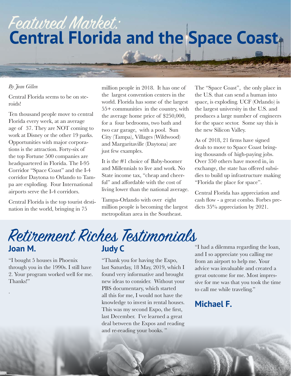### Featured Market: **Central Florida and the Space Coast**

#### *By Jean Gillen*

Central Florida seems to be on steroids!

Ten thousand people move to central Florida every week, at an average age of 37. They are NOT coming to work at Disney or the other 19 parks. Opportunities with major corporations is the attraction. Forty-six of the top Fortune 500 companies are headquartered in Florida. The I-95 Corridor "Space Coast" and the I-4 corridor Daytona to Orlando to Tampa are exploding. Four International airports serve the I-4 corridors.

Central Florida is the top tourist destination in the world, bringing in 75

million people in 2018. It has one of the largest convention centers in the world. Florida has some of the largest 55+ communities in the country, with the average home price of \$250,000, for a four bedrooms, two bath and two car garage, with a pool. Sun City (Tampa), Villages (Wildwood) and Margaritaville (Daytona) are just few examples.

It is the #1 choice of Baby-boomer and Millennials to live and work. No State income tax, "cheap and cheerful" and affordable with the cost of living lower than the national average.

Tampa-Orlando with over eight million people is becoming the largest metropolitan area in the Southeast.

The "Space Coast", the only place in the U.S. that can send a human into space, is exploding. UCF (Orlando) is the largest university in the U.S. and produces a large number of engineers for the space sector. Some say this is the new Silicon Valley.

As of 2018, 21 firms have signed deals to move to Space Coast bringing thousands of high-paying jobs. Over 350 others have moved in, in exchange, the state has offered subsidies to build up infrastructure making "Florida the place for space".

Central Florida has appreciation and cash flow - a great combo. Forbes predicts 35% appreciation by 2021.

#### **Joan M. Judy C** Retirement Riches Testimonials

"I bought 5 houses in Phoenix through you in the 1990s. I still have 2. Your program worked well for me. Thanks!"

.

"Thank you for having the Expo, last Saturday, 18 May, 2019, which I found very informative and brought new ideas to consider. Without your PBS documentary, which started all this for me, I would not have the knowledge to invest in rental houses. This was my second Expo, the first, last December. I've learned a great deal between the Expos and reading and re-reading your books. "

"I had a dilemma regarding the loan, and I so appreciate you calling me from an airport to help me. Your advice was invaluable and created a great outcome for me. Most impressive for me was that you took the time to call me while traveling."

#### **Michael F.**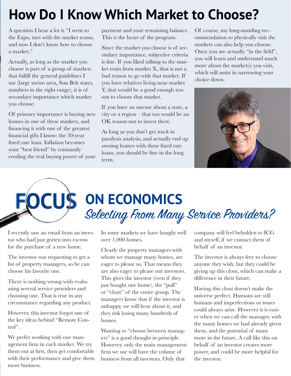### **How Do I Know Which Market to Choose?**

A question I hear a lot is "I went to the Expo, met with the market teams, and now I don't know how to choose a market."

Actually, as long as the market you choose is part of a group of markets that fulfill the general guidelines I use (large metro area, Sun Belt states, numbers in the right range), it is of secondary importance which market you choose.

Of primary importance is buying new homes in one of these markets, and financing it with one of the greatest financial gifts I know: the 30-year fixed rate loan. Inflation becomes your "best friend" by constantly eroding the real buying power of your payment and your remaining balance. This is the heart of the program.

Since the market you choose is of secondary importance, subjective criteria is fine. If you liked talking to the market team from market X, that is not a bad reason to go with that market. If you have relatives living near market Y, that would be a good enough reason to choose that market.

If you have an unease about a state, a city or a region – that too would be an OK reason not to invest there.

As long as you don't get stuck in paralysis analysis, and actually end up owning homes with these fixed rate loans, you should be fine in the long term.

Of course, my long-standing recommendation to physically visit the markets can also help you choose. Once you are actually "in the field", you will learn and understand much more about the market(s) you visit, which will assist in narrowing your choice down.



# **ON ECONOMICS** Selecting From Many Service Providers?

I recently saw an email from an investor who had just gotten into escrow for the purchase of a new home.

The investor was requesting to get a list of property managers, so he can choose his favorite one.

There is nothing wrong with evaluating several service providers and choosing one. That is true in any circumstance regarding any product.

However, this investor forgot one of the key ideas behind "Remote Control".

We prefer working with one management firm in each market. We try them out at first, then get comfortable with their performance and give them more business.

In some markets we have bought well over 1,000 homes.

Clearly the property managers with whom we manage many homes, are eager to please us. That means they are also eager to please our investors. This gives the investor (even if they just bought one home), the "pull" or "clout" of the entire group. The managers know that if the investor is unhappy, we will hear about it, and they risk losing many hundreds of homes.

Wanting to "choose between managers" is a good thought in principle. However, only the main management firm we use will have the volume of business from all investors. Only that

company will feel beholden to ICG and myself, if we contact them of behalf of an investor.

The investor is always free to choose anyone they wish, but they could be giving up this clout, which can make a difference in their future.

Having this clout doesn't make the universe perfect. Humans are still humans and imperfections or issues could always arise. However it is easier when we can call the manager, with the many homes we had already given them, and the potential of many more in the future. A call like this on behalf of an investor creates more power, and could be more helpful for the investor.